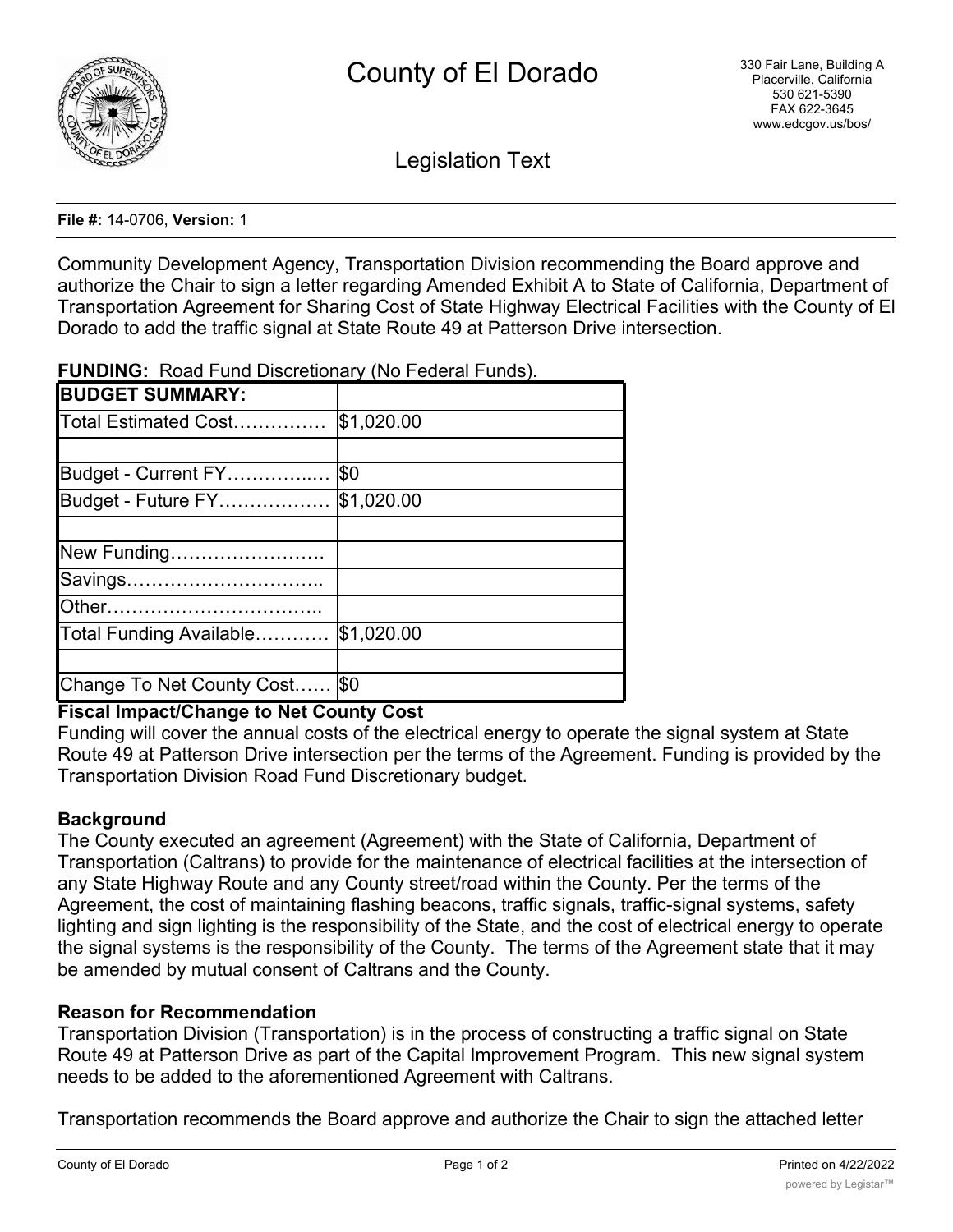

Legislation Text

#### **File #:** 14-0706, **Version:** 1

Community Development Agency, Transportation Division recommending the Board approve and authorize the Chair to sign a letter regarding Amended Exhibit A to State of California, Department of Transportation Agreement for Sharing Cost of State Highway Electrical Facilities with the County of El Dorado to add the traffic signal at State Route 49 at Patterson Drive intersection.

| <b>BUDGET SUMMARY:</b>            |  |
|-----------------------------------|--|
| Total Estimated Cost   \$1,020.00 |  |
|                                   |  |
| Budget - Current FY  \$0          |  |

**FUNDING:** Road Fund Discretionary (No Federal Funds).

# **Fiscal Impact/Change to Net County Cost**

Change To Net County Cost...... \$0

Total Funding Available………… \$1,020.00

Budget - Future FY……………… \$1,020.00

New Funding……………………. Savings………………………….. Other……………………………..

Funding will cover the annual costs of the electrical energy to operate the signal system at State Route 49 at Patterson Drive intersection per the terms of the Agreement. Funding is provided by the Transportation Division Road Fund Discretionary budget.

# **Background**

The County executed an agreement (Agreement) with the State of California, Department of Transportation (Caltrans) to provide for the maintenance of electrical facilities at the intersection of any State Highway Route and any County street/road within the County. Per the terms of the Agreement, the cost of maintaining flashing beacons, traffic signals, traffic-signal systems, safety lighting and sign lighting is the responsibility of the State, and the cost of electrical energy to operate the signal systems is the responsibility of the County. The terms of the Agreement state that it may be amended by mutual consent of Caltrans and the County.

### **Reason for Recommendation**

Transportation Division (Transportation) is in the process of constructing a traffic signal on State Route 49 at Patterson Drive as part of the Capital Improvement Program. This new signal system needs to be added to the aforementioned Agreement with Caltrans.

Transportation recommends the Board approve and authorize the Chair to sign the attached letter